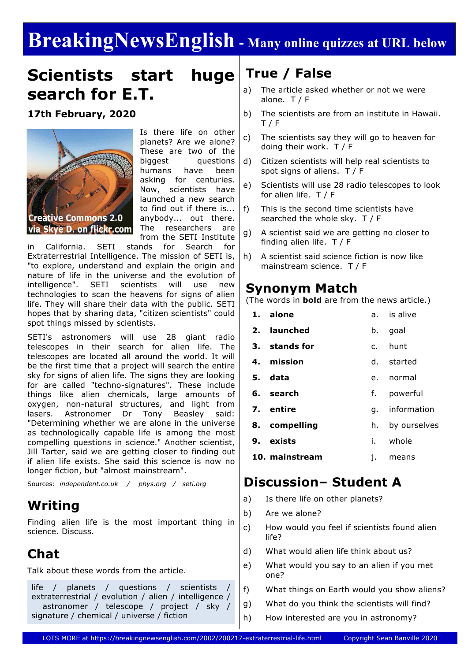# **BreakingNewsEnglish - Many online quizzes at URL below**

# **Scientists start huge search for E.T.**

**17th February, 2020**



Is there life on other planets? Are we alone? These are two of the biggest questions humans have been asking for centuries. Now, scientists have launched a new search to find out if there is... anybody... out there. The researchers are from the SETI Institute

in California. SETI stands for Search for Extraterrestrial Intelligence. The mission of SETI is, "to explore, understand and explain the origin and nature of life in the universe and the evolution of intelligence". SETI scientists will use new technologies to scan the heavens for signs of alien life. They will share their data with the public. SETI hopes that by sharing data, "citizen scientists" could spot things missed by scientists.

SETI's astronomers will use 28 giant radio telescopes in their search for alien life. The telescopes are located all around the world. It will be the first time that a project will search the entire sky for signs of alien life. The signs they are looking for are called "techno-signatures". These include things like alien chemicals, large amounts of oxygen, non-natural structures, and light from lasers. Astronomer Dr Tony Beasley said: "Determining whether we are alone in the universe as technologically capable life is among the most compelling questions in science." Another scientist, Jill Tarter, said we are getting closer to finding out if alien life exists. She said this science is now no longer fiction, but "almost mainstream".

Sources: *independent.co.uk / phys.org / seti.org*

### **Writing**

Finding alien life is the most important thing in science. Discuss.

### **Chat**

Talk about these words from the article.

life / planets / questions / scientists / extraterrestrial / evolution / alien / intelligence / astronomer / telescope / project / sky / signature / chemical / universe / fiction

### **True / False**

- a) The article asked whether or not we were alone. T / F
- b) The scientists are from an institute in Hawaii. T / F
- c) The scientists say they will go to heaven for doing their work. T / F
- d) Citizen scientists will help real scientists to spot signs of aliens. T / F
- e) Scientists will use 28 radio telescopes to look for alien life. T / F
- f) This is the second time scientists have searched the whole sky. T / F
- g) A scientist said we are getting no closer to finding alien life. T / F
- h) A scientist said science fiction is now like mainstream science. T / F

#### **Synonym Match**

(The words in **bold** are from the news article.)

| 1. alone       |    | a. is alive  |
|----------------|----|--------------|
| 2. launched    | b. | goal         |
| 3. stands for  |    | c. hunt      |
| 4. mission     |    | d. started   |
| 5. data        |    | e. normal    |
| 6. search      | f. | powerful     |
| 7. entire      | q. | information  |
| 8. compelling  | h. | by ourselves |
| 9. exists      |    | i. whole     |
| 10. mainstream | i. | means        |

#### **Discussion– Student A**

- a) Is there life on other planets?
- b) Are we alone?
- c) How would you feel if scientists found alien life?
- d) What would alien life think about us?
- e) What would you say to an alien if you met one?
- f) What things on Earth would you show aliens?
- g) What do you think the scientists will find?
- h) How interested are you in astronomy?